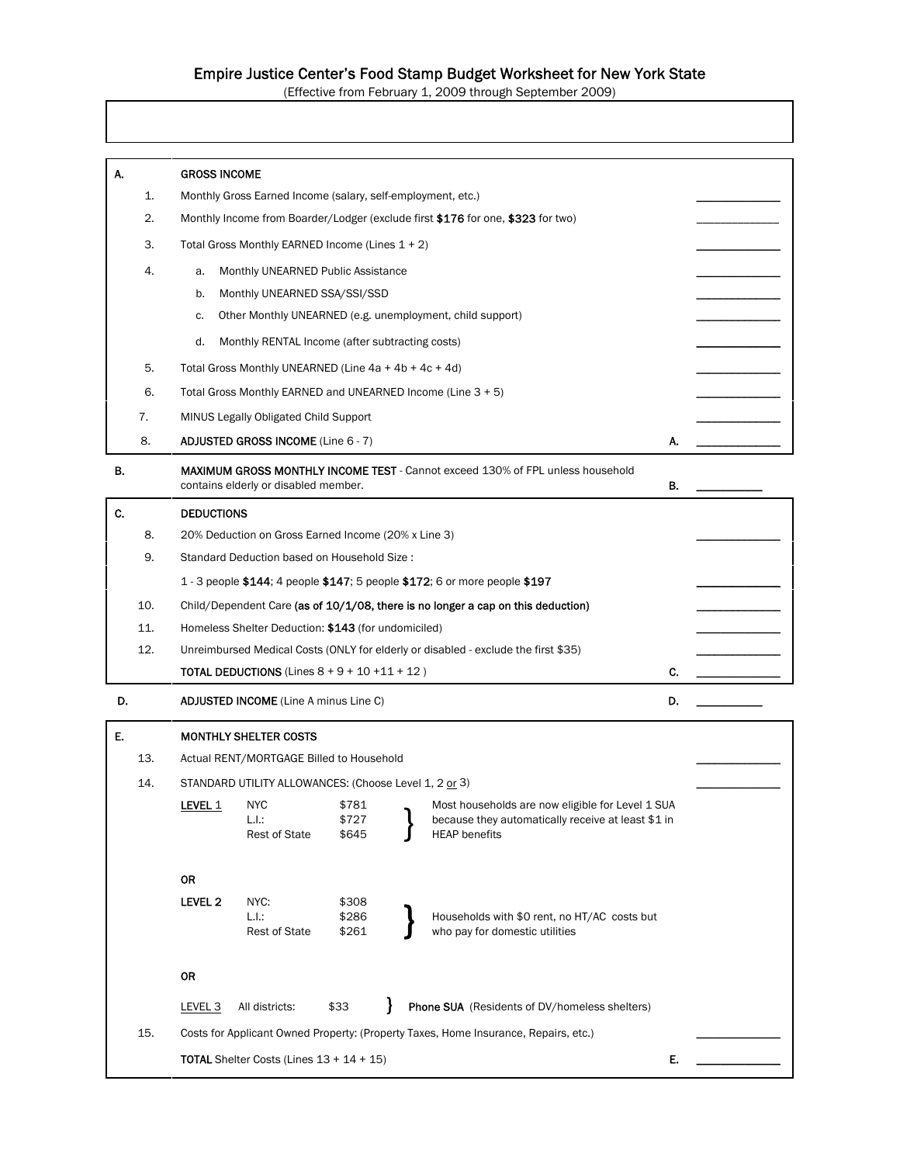# Empire Justice Center's Food Stamp Budget Worksheet for New York State

(Effective from February 1, 2009 through September 2009)

| 1.<br>Monthly Gross Earned Income (salary, self-employment, etc.)<br>2.<br>Monthly Income from Boarder/Lodger (exclude first \$176 for one, \$323 for two)<br>3.<br>Total Gross Monthly EARNED Income (Lines 1 + 2)<br>4.<br>Monthly UNEARNED Public Assistance<br>a.<br>Monthly UNEARNED SSA/SSI/SSD<br>b.<br>Other Monthly UNEARNED (e.g. unemployment, child support)<br>c.<br>d.<br>Monthly RENTAL Income (after subtracting costs)<br>5.<br>Total Gross Monthly UNEARNED (Line 4a + 4b + 4c + 4d)<br>6.<br>Total Gross Monthly EARNED and UNEARNED Income (Line 3 + 5)<br>7.<br>MINUS Legally Obligated Child Support<br>8.<br><b>ADJUSTED GROSS INCOME (Line 6 - 7)</b><br>А.<br>В.<br><b>MAXIMUM GROSS MONTHLY INCOME TEST</b> - Cannot exceed 130% of FPL unless household<br>В.<br>contains elderly or disabled member.<br>C.<br><b>DEDUCTIONS</b><br>8.<br>20% Deduction on Gross Earned Income (20% x Line 3)<br>9.<br>Standard Deduction based on Household Size:<br>1 - 3 people \$144; 4 people \$147; 5 people \$172; 6 or more people \$197<br>10.<br>Child/Dependent Care (as of 10/1/08, there is no longer a cap on this deduction)<br>11.<br>Homeless Shelter Deduction: \$143 (for undomiciled)<br>12.<br>Unreimbursed Medical Costs (ONLY for elderly or disabled - exclude the first \$35)<br><b>TOTAL DEDUCTIONS</b> (Lines $8 + 9 + 10 + 11 + 12$ )<br>C.<br>D.<br>D.<br><b>ADJUSTED INCOME</b> (Line A minus Line C)<br>Ε.<br><b>MONTHLY SHELTER COSTS</b><br>13.<br>Actual RENT/MORTGAGE Billed to Household<br>14.<br>STANDARD UTILITY ALLOWANCES: (Choose Level 1, 2 or 3)<br>LEVEL 1 NYC<br>\$781<br>Most households are now eligible for Level 1 SUA<br>\$727<br>because they automatically receive at least \$1 in<br>L.I.:<br><b>Rest of State</b><br>\$645<br><b>HEAP</b> benefits<br><b>OR</b><br>LEVEL <sub>2</sub><br>NYC:<br>\$308<br>L.I.:<br>Households with \$0 rent, no HT/AC costs but<br>\$286<br>who pay for domestic utilities<br><b>Rest of State</b><br>\$261<br>0R<br>Phone SUA (Residents of DV/homeless shelters)<br>LEVEL <sub>3</sub><br>All districts:<br>\$33<br>15.<br>Costs for Applicant Owned Property: (Property Taxes, Home Insurance, Repairs, etc.)<br>E.<br><b>TOTAL</b> Shelter Costs (Lines $13 + 14 + 15$ ) |    |                     |  |  |  |  |  |  |  |
|--------------------------------------------------------------------------------------------------------------------------------------------------------------------------------------------------------------------------------------------------------------------------------------------------------------------------------------------------------------------------------------------------------------------------------------------------------------------------------------------------------------------------------------------------------------------------------------------------------------------------------------------------------------------------------------------------------------------------------------------------------------------------------------------------------------------------------------------------------------------------------------------------------------------------------------------------------------------------------------------------------------------------------------------------------------------------------------------------------------------------------------------------------------------------------------------------------------------------------------------------------------------------------------------------------------------------------------------------------------------------------------------------------------------------------------------------------------------------------------------------------------------------------------------------------------------------------------------------------------------------------------------------------------------------------------------------------------------------------------------------------------------------------------------------------------------------------------------------------------------------------------------------------------------------------------------------------------------------------------------------------------------------------------------------------------------------------------------------------------------------------------------------------------------------------------------------------------------------------------------------------------------------------|----|---------------------|--|--|--|--|--|--|--|
|                                                                                                                                                                                                                                                                                                                                                                                                                                                                                                                                                                                                                                                                                                                                                                                                                                                                                                                                                                                                                                                                                                                                                                                                                                                                                                                                                                                                                                                                                                                                                                                                                                                                                                                                                                                                                                                                                                                                                                                                                                                                                                                                                                                                                                                                                | А. | <b>GROSS INCOME</b> |  |  |  |  |  |  |  |
|                                                                                                                                                                                                                                                                                                                                                                                                                                                                                                                                                                                                                                                                                                                                                                                                                                                                                                                                                                                                                                                                                                                                                                                                                                                                                                                                                                                                                                                                                                                                                                                                                                                                                                                                                                                                                                                                                                                                                                                                                                                                                                                                                                                                                                                                                |    |                     |  |  |  |  |  |  |  |
|                                                                                                                                                                                                                                                                                                                                                                                                                                                                                                                                                                                                                                                                                                                                                                                                                                                                                                                                                                                                                                                                                                                                                                                                                                                                                                                                                                                                                                                                                                                                                                                                                                                                                                                                                                                                                                                                                                                                                                                                                                                                                                                                                                                                                                                                                |    |                     |  |  |  |  |  |  |  |
|                                                                                                                                                                                                                                                                                                                                                                                                                                                                                                                                                                                                                                                                                                                                                                                                                                                                                                                                                                                                                                                                                                                                                                                                                                                                                                                                                                                                                                                                                                                                                                                                                                                                                                                                                                                                                                                                                                                                                                                                                                                                                                                                                                                                                                                                                |    |                     |  |  |  |  |  |  |  |
|                                                                                                                                                                                                                                                                                                                                                                                                                                                                                                                                                                                                                                                                                                                                                                                                                                                                                                                                                                                                                                                                                                                                                                                                                                                                                                                                                                                                                                                                                                                                                                                                                                                                                                                                                                                                                                                                                                                                                                                                                                                                                                                                                                                                                                                                                |    |                     |  |  |  |  |  |  |  |
|                                                                                                                                                                                                                                                                                                                                                                                                                                                                                                                                                                                                                                                                                                                                                                                                                                                                                                                                                                                                                                                                                                                                                                                                                                                                                                                                                                                                                                                                                                                                                                                                                                                                                                                                                                                                                                                                                                                                                                                                                                                                                                                                                                                                                                                                                |    |                     |  |  |  |  |  |  |  |
|                                                                                                                                                                                                                                                                                                                                                                                                                                                                                                                                                                                                                                                                                                                                                                                                                                                                                                                                                                                                                                                                                                                                                                                                                                                                                                                                                                                                                                                                                                                                                                                                                                                                                                                                                                                                                                                                                                                                                                                                                                                                                                                                                                                                                                                                                |    |                     |  |  |  |  |  |  |  |
|                                                                                                                                                                                                                                                                                                                                                                                                                                                                                                                                                                                                                                                                                                                                                                                                                                                                                                                                                                                                                                                                                                                                                                                                                                                                                                                                                                                                                                                                                                                                                                                                                                                                                                                                                                                                                                                                                                                                                                                                                                                                                                                                                                                                                                                                                |    |                     |  |  |  |  |  |  |  |
|                                                                                                                                                                                                                                                                                                                                                                                                                                                                                                                                                                                                                                                                                                                                                                                                                                                                                                                                                                                                                                                                                                                                                                                                                                                                                                                                                                                                                                                                                                                                                                                                                                                                                                                                                                                                                                                                                                                                                                                                                                                                                                                                                                                                                                                                                |    |                     |  |  |  |  |  |  |  |
|                                                                                                                                                                                                                                                                                                                                                                                                                                                                                                                                                                                                                                                                                                                                                                                                                                                                                                                                                                                                                                                                                                                                                                                                                                                                                                                                                                                                                                                                                                                                                                                                                                                                                                                                                                                                                                                                                                                                                                                                                                                                                                                                                                                                                                                                                |    |                     |  |  |  |  |  |  |  |
|                                                                                                                                                                                                                                                                                                                                                                                                                                                                                                                                                                                                                                                                                                                                                                                                                                                                                                                                                                                                                                                                                                                                                                                                                                                                                                                                                                                                                                                                                                                                                                                                                                                                                                                                                                                                                                                                                                                                                                                                                                                                                                                                                                                                                                                                                |    |                     |  |  |  |  |  |  |  |
|                                                                                                                                                                                                                                                                                                                                                                                                                                                                                                                                                                                                                                                                                                                                                                                                                                                                                                                                                                                                                                                                                                                                                                                                                                                                                                                                                                                                                                                                                                                                                                                                                                                                                                                                                                                                                                                                                                                                                                                                                                                                                                                                                                                                                                                                                |    |                     |  |  |  |  |  |  |  |
|                                                                                                                                                                                                                                                                                                                                                                                                                                                                                                                                                                                                                                                                                                                                                                                                                                                                                                                                                                                                                                                                                                                                                                                                                                                                                                                                                                                                                                                                                                                                                                                                                                                                                                                                                                                                                                                                                                                                                                                                                                                                                                                                                                                                                                                                                |    |                     |  |  |  |  |  |  |  |
|                                                                                                                                                                                                                                                                                                                                                                                                                                                                                                                                                                                                                                                                                                                                                                                                                                                                                                                                                                                                                                                                                                                                                                                                                                                                                                                                                                                                                                                                                                                                                                                                                                                                                                                                                                                                                                                                                                                                                                                                                                                                                                                                                                                                                                                                                |    |                     |  |  |  |  |  |  |  |
|                                                                                                                                                                                                                                                                                                                                                                                                                                                                                                                                                                                                                                                                                                                                                                                                                                                                                                                                                                                                                                                                                                                                                                                                                                                                                                                                                                                                                                                                                                                                                                                                                                                                                                                                                                                                                                                                                                                                                                                                                                                                                                                                                                                                                                                                                |    |                     |  |  |  |  |  |  |  |
|                                                                                                                                                                                                                                                                                                                                                                                                                                                                                                                                                                                                                                                                                                                                                                                                                                                                                                                                                                                                                                                                                                                                                                                                                                                                                                                                                                                                                                                                                                                                                                                                                                                                                                                                                                                                                                                                                                                                                                                                                                                                                                                                                                                                                                                                                |    |                     |  |  |  |  |  |  |  |
|                                                                                                                                                                                                                                                                                                                                                                                                                                                                                                                                                                                                                                                                                                                                                                                                                                                                                                                                                                                                                                                                                                                                                                                                                                                                                                                                                                                                                                                                                                                                                                                                                                                                                                                                                                                                                                                                                                                                                                                                                                                                                                                                                                                                                                                                                |    |                     |  |  |  |  |  |  |  |
|                                                                                                                                                                                                                                                                                                                                                                                                                                                                                                                                                                                                                                                                                                                                                                                                                                                                                                                                                                                                                                                                                                                                                                                                                                                                                                                                                                                                                                                                                                                                                                                                                                                                                                                                                                                                                                                                                                                                                                                                                                                                                                                                                                                                                                                                                |    |                     |  |  |  |  |  |  |  |
|                                                                                                                                                                                                                                                                                                                                                                                                                                                                                                                                                                                                                                                                                                                                                                                                                                                                                                                                                                                                                                                                                                                                                                                                                                                                                                                                                                                                                                                                                                                                                                                                                                                                                                                                                                                                                                                                                                                                                                                                                                                                                                                                                                                                                                                                                |    |                     |  |  |  |  |  |  |  |
|                                                                                                                                                                                                                                                                                                                                                                                                                                                                                                                                                                                                                                                                                                                                                                                                                                                                                                                                                                                                                                                                                                                                                                                                                                                                                                                                                                                                                                                                                                                                                                                                                                                                                                                                                                                                                                                                                                                                                                                                                                                                                                                                                                                                                                                                                |    |                     |  |  |  |  |  |  |  |
|                                                                                                                                                                                                                                                                                                                                                                                                                                                                                                                                                                                                                                                                                                                                                                                                                                                                                                                                                                                                                                                                                                                                                                                                                                                                                                                                                                                                                                                                                                                                                                                                                                                                                                                                                                                                                                                                                                                                                                                                                                                                                                                                                                                                                                                                                |    |                     |  |  |  |  |  |  |  |
|                                                                                                                                                                                                                                                                                                                                                                                                                                                                                                                                                                                                                                                                                                                                                                                                                                                                                                                                                                                                                                                                                                                                                                                                                                                                                                                                                                                                                                                                                                                                                                                                                                                                                                                                                                                                                                                                                                                                                                                                                                                                                                                                                                                                                                                                                |    |                     |  |  |  |  |  |  |  |
|                                                                                                                                                                                                                                                                                                                                                                                                                                                                                                                                                                                                                                                                                                                                                                                                                                                                                                                                                                                                                                                                                                                                                                                                                                                                                                                                                                                                                                                                                                                                                                                                                                                                                                                                                                                                                                                                                                                                                                                                                                                                                                                                                                                                                                                                                |    |                     |  |  |  |  |  |  |  |
|                                                                                                                                                                                                                                                                                                                                                                                                                                                                                                                                                                                                                                                                                                                                                                                                                                                                                                                                                                                                                                                                                                                                                                                                                                                                                                                                                                                                                                                                                                                                                                                                                                                                                                                                                                                                                                                                                                                                                                                                                                                                                                                                                                                                                                                                                |    |                     |  |  |  |  |  |  |  |
|                                                                                                                                                                                                                                                                                                                                                                                                                                                                                                                                                                                                                                                                                                                                                                                                                                                                                                                                                                                                                                                                                                                                                                                                                                                                                                                                                                                                                                                                                                                                                                                                                                                                                                                                                                                                                                                                                                                                                                                                                                                                                                                                                                                                                                                                                |    |                     |  |  |  |  |  |  |  |
|                                                                                                                                                                                                                                                                                                                                                                                                                                                                                                                                                                                                                                                                                                                                                                                                                                                                                                                                                                                                                                                                                                                                                                                                                                                                                                                                                                                                                                                                                                                                                                                                                                                                                                                                                                                                                                                                                                                                                                                                                                                                                                                                                                                                                                                                                |    |                     |  |  |  |  |  |  |  |
|                                                                                                                                                                                                                                                                                                                                                                                                                                                                                                                                                                                                                                                                                                                                                                                                                                                                                                                                                                                                                                                                                                                                                                                                                                                                                                                                                                                                                                                                                                                                                                                                                                                                                                                                                                                                                                                                                                                                                                                                                                                                                                                                                                                                                                                                                |    |                     |  |  |  |  |  |  |  |
|                                                                                                                                                                                                                                                                                                                                                                                                                                                                                                                                                                                                                                                                                                                                                                                                                                                                                                                                                                                                                                                                                                                                                                                                                                                                                                                                                                                                                                                                                                                                                                                                                                                                                                                                                                                                                                                                                                                                                                                                                                                                                                                                                                                                                                                                                |    |                     |  |  |  |  |  |  |  |
|                                                                                                                                                                                                                                                                                                                                                                                                                                                                                                                                                                                                                                                                                                                                                                                                                                                                                                                                                                                                                                                                                                                                                                                                                                                                                                                                                                                                                                                                                                                                                                                                                                                                                                                                                                                                                                                                                                                                                                                                                                                                                                                                                                                                                                                                                |    |                     |  |  |  |  |  |  |  |
|                                                                                                                                                                                                                                                                                                                                                                                                                                                                                                                                                                                                                                                                                                                                                                                                                                                                                                                                                                                                                                                                                                                                                                                                                                                                                                                                                                                                                                                                                                                                                                                                                                                                                                                                                                                                                                                                                                                                                                                                                                                                                                                                                                                                                                                                                |    |                     |  |  |  |  |  |  |  |
|                                                                                                                                                                                                                                                                                                                                                                                                                                                                                                                                                                                                                                                                                                                                                                                                                                                                                                                                                                                                                                                                                                                                                                                                                                                                                                                                                                                                                                                                                                                                                                                                                                                                                                                                                                                                                                                                                                                                                                                                                                                                                                                                                                                                                                                                                |    |                     |  |  |  |  |  |  |  |
|                                                                                                                                                                                                                                                                                                                                                                                                                                                                                                                                                                                                                                                                                                                                                                                                                                                                                                                                                                                                                                                                                                                                                                                                                                                                                                                                                                                                                                                                                                                                                                                                                                                                                                                                                                                                                                                                                                                                                                                                                                                                                                                                                                                                                                                                                |    |                     |  |  |  |  |  |  |  |
|                                                                                                                                                                                                                                                                                                                                                                                                                                                                                                                                                                                                                                                                                                                                                                                                                                                                                                                                                                                                                                                                                                                                                                                                                                                                                                                                                                                                                                                                                                                                                                                                                                                                                                                                                                                                                                                                                                                                                                                                                                                                                                                                                                                                                                                                                |    |                     |  |  |  |  |  |  |  |
|                                                                                                                                                                                                                                                                                                                                                                                                                                                                                                                                                                                                                                                                                                                                                                                                                                                                                                                                                                                                                                                                                                                                                                                                                                                                                                                                                                                                                                                                                                                                                                                                                                                                                                                                                                                                                                                                                                                                                                                                                                                                                                                                                                                                                                                                                |    |                     |  |  |  |  |  |  |  |
|                                                                                                                                                                                                                                                                                                                                                                                                                                                                                                                                                                                                                                                                                                                                                                                                                                                                                                                                                                                                                                                                                                                                                                                                                                                                                                                                                                                                                                                                                                                                                                                                                                                                                                                                                                                                                                                                                                                                                                                                                                                                                                                                                                                                                                                                                |    |                     |  |  |  |  |  |  |  |
|                                                                                                                                                                                                                                                                                                                                                                                                                                                                                                                                                                                                                                                                                                                                                                                                                                                                                                                                                                                                                                                                                                                                                                                                                                                                                                                                                                                                                                                                                                                                                                                                                                                                                                                                                                                                                                                                                                                                                                                                                                                                                                                                                                                                                                                                                |    |                     |  |  |  |  |  |  |  |
|                                                                                                                                                                                                                                                                                                                                                                                                                                                                                                                                                                                                                                                                                                                                                                                                                                                                                                                                                                                                                                                                                                                                                                                                                                                                                                                                                                                                                                                                                                                                                                                                                                                                                                                                                                                                                                                                                                                                                                                                                                                                                                                                                                                                                                                                                |    |                     |  |  |  |  |  |  |  |
|                                                                                                                                                                                                                                                                                                                                                                                                                                                                                                                                                                                                                                                                                                                                                                                                                                                                                                                                                                                                                                                                                                                                                                                                                                                                                                                                                                                                                                                                                                                                                                                                                                                                                                                                                                                                                                                                                                                                                                                                                                                                                                                                                                                                                                                                                |    |                     |  |  |  |  |  |  |  |